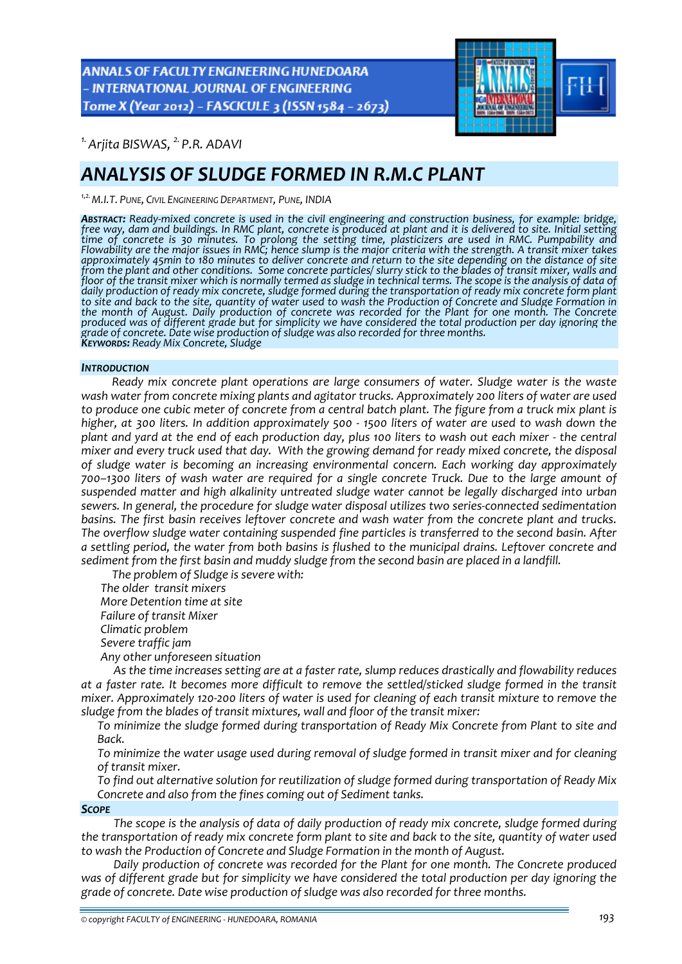ANNALS OF FACULTY ENGINEERING HUNEDOARA - INTERNATIONAL JOURNAL OF ENGINEERING Tome X (Year 2012) - FASCICULE 3 (ISSN 1584 - 2673)



*1.Arjita BISWAS, 2. P.R. ADAVI* 

# *ANALYSIS OF SLUDGE FORMED IN R.M.C PLANT*

*1,2.M.I.T. PUNE, CIVIL ENGINEERING DEPARTMENT, PUNE, INDIA*

ABSTRACT: Ready-mixed concrete is used in the civil engineering and construction business, for example: bridge, free way, dam and buildings. In RMC plant, concrete is produced at plant and it is delivered to site. Initial time of concrete is 30 minutes. To prolong the setting time, plasticizers are used in RMC. Pumpability and<br>Flowability are the major issues in RMC; hence slump is the major criteria with the strength. A transit mixer takes approximately 45min to 180 minutes to deliver concrete and return to the site depending on the distance of site from the plant and other conditions. Some concrete particles/ slurry stick to the blades of transit mixer, walls and floor of the transit mixer which is normally termed as sludge in technical terms. The scope is the analysis of data of<br>daily production of ready mix concrete, sludge formed during the transportation of ready mix concrete f to site and back to the site, quantity of water used to wash the Production of Concrete and Sludge Formation in the month of August. Daily production of concrete was recorded for the Plant for one month. The Concrete produced was of different grade but for simplicity we have considered the total production per day ignoring the *grade of concrete. Date wise production of sludge was also recorded for three months. KEYWORDS: Ready Mix Concrete, Sludge*

## *INTRODUCTION*

*Ready mix concrete plant operations are large consumers of water. Sludge water is the waste wash water from concrete mixing plants and agitator trucks. Approximately 200 liters of water are used* to produce one cubic meter of concrete from a central batch plant. The figure from a truck mix plant is higher, at 300 liters. In addition approximately 500 - 1500 liters of water are used to wash down the plant and yard at the end of each production day, plus 100 liters to wash out each mixer - the central mixer and every truck used that day. With the growing demand for ready mixed concrete, the disposal *of sludge water is becoming an increasing environmental concern. Each working day approximately 700–1300 liters of wash water are required for a single concrete Truck. Due to the large amount of suspended matter and high alkalinity untreated sludge water cannot be legally discharged into urban sewers. In general, the procedure for sludge water disposal utilizes two series‐connected sedimentation basins. The first basin receives leftover concrete and wash water from the concrete plant and trucks. The overflow sludge water containing suspended fine particles is transferred to the second basin. After a settling period, the water from both basins is flushed to the municipal drains. Leftover concrete and sediment from the first basin and muddy sludge from the second basin are placed in a landfill.*

*The problem of Sludge is severe with: The older transit mixers More Detention time at site Failure of transit Mixer Climatic problem Severe traffic jam Any other unforeseen situation*

*As the time increases setting are at a faster rate, slump reduces drastically and flowability reduces at a faster rate. It becomes more difficult to remove the settled/sticked sludge formed in the transit* mixer. Approximately 120-200 liters of water is used for cleaning of each transit mixture to remove the *sludge from the blades of transit mixtures, wall and floor of the transit mixer:*

 *To minimize the sludge formed during transportation of Ready Mix Concrete from Plant to site and Back.*

 *To minimize the water usage used during removal of sludge formed in transit mixer and for cleaning of transit mixer.*

 *To find out alternative solution for reutilization of sludge formed during transportation of Ready Mix Concrete and also from the fines coming out of Sediment tanks.*

*SCOPE*

*The scope is the analysis of data of daily production of ready mix concrete, sludge formed during* the transportation of ready mix concrete form plant to site and back to the site, quantity of water used *to wash the Production of Concrete and Sludge Formation in the month of August.*

*Daily production of concrete was recorded for the Plant for one month. The Concrete produced was of different grade but for simplicity we have considered the total production per day ignoring the grade of concrete. Date wise production of sludge was also recorded for three months.*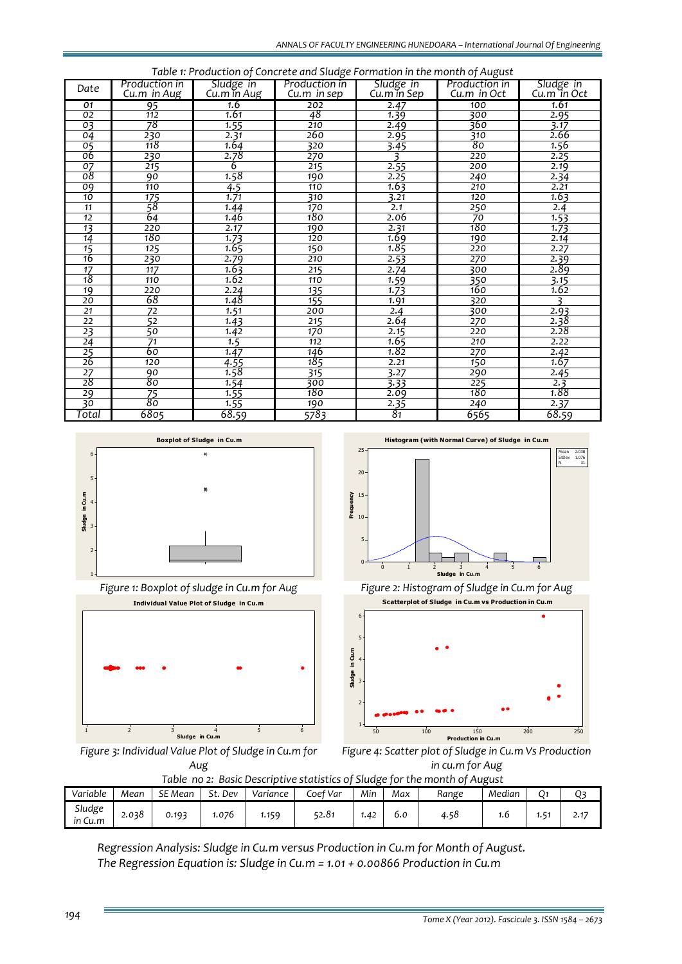| Table 1: Production of Concrete and Sludge Formation in the month of August |                  |             |                  |                          |                  |                          |  |  |  |  |  |
|-----------------------------------------------------------------------------|------------------|-------------|------------------|--------------------------|------------------|--------------------------|--|--|--|--|--|
| Date                                                                        | Production in    | Sludge in   | Production in    | Sludge in<br>Cu.m in Sep | Production in    | Sludge in<br>Cu.m in Oct |  |  |  |  |  |
|                                                                             | Cu.m in Aug      | Cu.m in Aug | Cu.m in sep      |                          | Cu.m in Oct      |                          |  |  |  |  |  |
| 01                                                                          | 95               | 1.6         | 202              | 2.47                     | 100              | 1.61                     |  |  |  |  |  |
| 02                                                                          | 112              | 1.61        | 48               | 1.39                     | 300              | 2.95                     |  |  |  |  |  |
| $\overline{03}$                                                             | 78               | 1.55        | 210              | 2.49                     | 360              | 3.17                     |  |  |  |  |  |
| 04                                                                          | 230              | 2.31        | 260              | 2.95                     | 310              | 2.66                     |  |  |  |  |  |
| 05                                                                          | 118              | 1.64        | 320              | 3.45                     | 80               | 1.56                     |  |  |  |  |  |
| 06                                                                          | 230              | 2.78        | 270              | ₹                        | 220              | 2.25                     |  |  |  |  |  |
| 07                                                                          | 215              | 6           | 215              | 2.55                     | 200              | 2.19                     |  |  |  |  |  |
| $\overline{08}$                                                             | 90               | 1.58        | 190              | 2.25                     | 240              | 2.34                     |  |  |  |  |  |
| 09                                                                          | 110              | 4.5         | 110              | 1.63                     | 210              | 2.21                     |  |  |  |  |  |
| 10                                                                          | 175              | 1.71        | 310              | 3.21                     | 120              | 1.63                     |  |  |  |  |  |
| 11                                                                          | 58               | 1.44        | 170              | 2.1                      | 250              | 2.4                      |  |  |  |  |  |
| 12                                                                          | 64               | 1.46        | 180              | 2.06                     | 70               | 1.53                     |  |  |  |  |  |
| 13                                                                          | 220              | 2.17        | 190              | 2.31                     | 180              | 1.73                     |  |  |  |  |  |
| 14                                                                          | 180              | 1.73        | 120              | 1.69                     | 190              | 2.14                     |  |  |  |  |  |
| 15                                                                          | 125              | 1.65        | 150              | 1.85                     | 220              | 2.27                     |  |  |  |  |  |
| 16                                                                          | 230              | 2.79        | 210              | 2.53                     | 270              | 2.39                     |  |  |  |  |  |
| $\overline{17}$                                                             | $\overline{117}$ | 1.63        | 215              | 2.74                     | 300              | 2.89                     |  |  |  |  |  |
| 18                                                                          | 110              | 1.62        | 110              | 1.59                     | 350              | 3.15                     |  |  |  |  |  |
| 19                                                                          | 220              | 2.24        | 135              | 1.73                     | 160              | 1.62                     |  |  |  |  |  |
| $\overline{20}$                                                             | 68               | 1.48        | 155              | 1.91                     | 320              | ₹                        |  |  |  |  |  |
| $\overline{21}$                                                             | $\overline{72}$  | 1.51        | 200              | 2.4                      | 300              | 2.93                     |  |  |  |  |  |
| $\overline{22}$                                                             | 52               | 1.43        | 215              | 2.64                     | 270              | 2.38                     |  |  |  |  |  |
| 23                                                                          | 50               | 1.42        | 170              | 2.15                     | 220              | 2.28                     |  |  |  |  |  |
| $\overline{24}$                                                             | $\overline{71}$  | 1.5         | 112              | 1.65                     | 210              | 2.22                     |  |  |  |  |  |
| $\frac{25}{26}$                                                             | 60               | 1.47        | 146              | 1.82                     | 270              | 2.42                     |  |  |  |  |  |
|                                                                             | 120              | 4.55        | 185              | 2.21                     | 150              | 1.67                     |  |  |  |  |  |
| $\overline{27}$                                                             | 90               | 1.58        | $\overline{315}$ | 3.27                     | 290              | 2.45                     |  |  |  |  |  |
| 28                                                                          | 80               | 1.54        | 300              | 3.33                     | $\overline{225}$ | 2.3                      |  |  |  |  |  |
| 29                                                                          | $\overline{75}$  | 1.55        | 180              | 2.09                     | 180              | 1.88                     |  |  |  |  |  |
| 30                                                                          | 80               | 1.55        | 190              | 2.35                     | 240              | 2.37                     |  |  |  |  |  |
| Total                                                                       | 6805             | 68.59       | 5783             | 81                       | 6565             | 68.59                    |  |  |  |  |  |





*Figure 3: Individual Value Plot of Sludge in Cu.m for Aug*

**Histogram (with Normal Curve) of Sludge in Cu.m**



*Figure 1: Boxplot of sludge in Cu.m for Aug Figure 2: Histogram of Sludge in Cu.m for Aug*



*Figure 4: Scatter plot of Sludge in Cu.m Vs Production in cu.m for Aug*

| Table no 2: Basic Descriptive statistics of Sludge for the month of August |       |         |         |          |          |      |     |       |        |                  |      |
|----------------------------------------------------------------------------|-------|---------|---------|----------|----------|------|-----|-------|--------|------------------|------|
| Variable                                                                   | Mean  | SE Mean | St. Dev | Variance | Coef Var | Min  | Max | Range | Median |                  |      |
| Sludge<br>in Cu.m                                                          | 2.038 | 0.193   | 1.076   | 1.159    | 52.81    | 1.42 | 6.0 | 4.58  | 1.6    | 1.5 <sup>7</sup> | 2.17 |

*Regression Analysis: Sludge in Cu.m versus Production in Cu.m for Month of August. The Regression Equation is: Sludge in Cu.m = 1.01 + 0.00866 Production in Cu.m*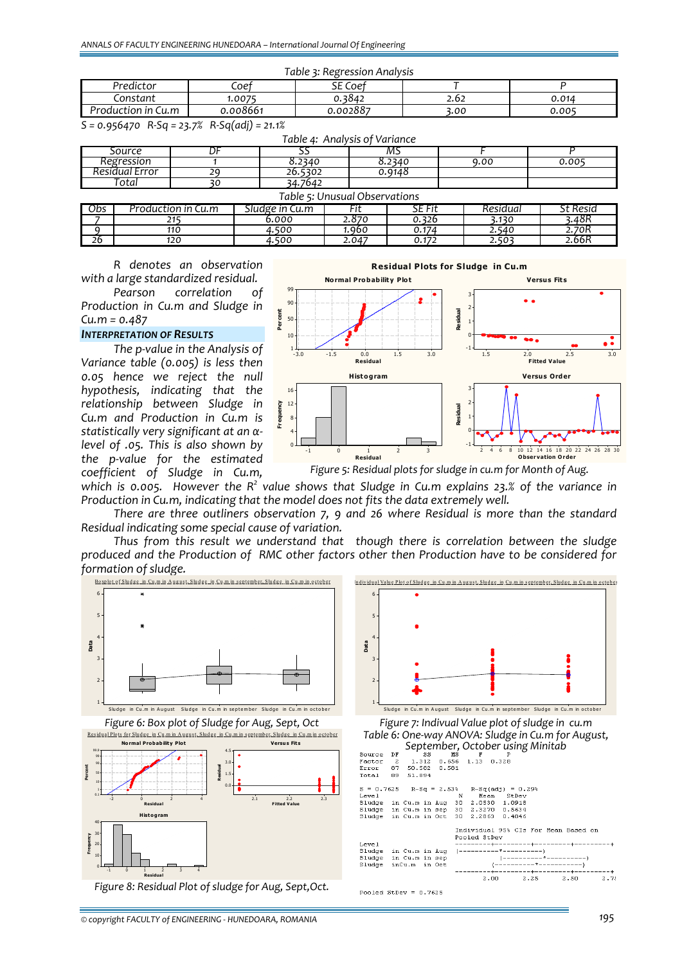| Table 3: Regression Analysis |          |          |      |       |  |  |  |  |  |
|------------------------------|----------|----------|------|-------|--|--|--|--|--|
| Predictor                    | Coef     | SE Coef  |      |       |  |  |  |  |  |
| .onstant                     | .0075.   | 0.3842   | 2.62 | 0.014 |  |  |  |  |  |
| Production in Cu.m           | 0.008661 | 0.002887 | 3.00 | 0.005 |  |  |  |  |  |

*S = 0.956470 R‐Sq = 23.7% R‐Sq(adj) = 21.1%*

|                      | Table 4: Analysis of Variance |    |                |       |        |          |                 |  |  |  |  |
|----------------------|-------------------------------|----|----------------|-------|--------|----------|-----------------|--|--|--|--|
|                      | Source                        |    |                |       |        |          |                 |  |  |  |  |
| Regression           |                               |    | 8.2340         |       | 8.2340 | 9.00     | 0.005           |  |  |  |  |
| Residual Error<br>29 |                               |    | 26.5302        |       | 0.9148 |          |                 |  |  |  |  |
| Total                |                               | ЗC | 34.7642        |       |        |          |                 |  |  |  |  |
|                      | Table 5: Unusual Observations |    |                |       |        |          |                 |  |  |  |  |
| Obs                  | Production in Cu.m            |    | Sludge in Cu.m |       | SE Fit | Residual | <b>St Resid</b> |  |  |  |  |
|                      | 215                           |    | 6.000          | 2.870 | 0.326  | 3.130    | 3.48R           |  |  |  |  |
|                      | 110                           |    | 4.500          | 1.960 | 0.174  | 2.540    | 2.70R           |  |  |  |  |

*26 120 4.500 2.047 0.172 2.503 2.66R*

*R denotes an observation with a large standardized residual.*

*Pearson correlation of Production in Cu.m and Sludge in Cu.m = 0.487*

# *INTERPRETATION OF RESULTS*

*The p‐value in the Analysis of Variance table (0.005) is less then 0.05 hence we reject the null hypothesis, indicating that the relationship between Sludge in Cu.m and Production in Cu.m is statistically very significant at an α‐ level of .05. This is also shown by the p‐value for the estimated coefficient of Sludge in Cu.m,*



*Figure 5: Residual plots for sludge in cu.m for Month of Aug.*

which is 0.005. However the  $R^2$  value shows that Sludge in Cu.m explains 23.% of the variance in *Production in Cu.m, indicating that the model does not fits the data extremely well.*

*There are three outliners observation 7, 9 and 26 where Residual is more than the standard Residual indicating some special cause of variation.*

*Thus from this result we understand that though there is correlation between the sludge produced and the Production of RMC other factors other then Production have to be considered for formation of sludge.*





*Table 6: One‐way ANOVA: Sludge in Cu.m for August, September, October using Minitab*

| Source DF                                      |  |  |  |  |  | SS MS F                  | . Р |  |                    |                                      |      |
|------------------------------------------------|--|--|--|--|--|--------------------------|-----|--|--------------------|--------------------------------------|------|
| Factor                                         |  |  |  |  |  | 2 1.312 0.656 1.13 0.328 |     |  |                    |                                      |      |
| Error 87 50.582 0.581                          |  |  |  |  |  |                          |     |  |                    |                                      |      |
| Total 89 51.894                                |  |  |  |  |  |                          |     |  |                    |                                      |      |
| $S = 0.7625$ R-Sq = 2.53% R-Sq(adj) = 0.29%    |  |  |  |  |  |                          |     |  |                    |                                      |      |
| Level                                          |  |  |  |  |  | N Mean StDev             |     |  |                    |                                      |      |
| Sludge in Cu.m in Aug 30 2.0530 1.0918         |  |  |  |  |  |                          |     |  |                    |                                      |      |
| Sludge in Cu.m in sep 30 2.3270 0.5634         |  |  |  |  |  |                          |     |  |                    |                                      |      |
| Sludge in Cu.m in Oct 30 2.2863 0.4846         |  |  |  |  |  |                          |     |  |                    |                                      |      |
|                                                |  |  |  |  |  | Pooled StDev             |     |  |                    | Individual 95% CIs For Mean Based on |      |
| Level                                          |  |  |  |  |  |                          |     |  |                    |                                      |      |
| Sludge in Cu.m in Aug (----------*-----------) |  |  |  |  |  |                          |     |  |                    |                                      |      |
| Sludge in Cu.m in sep                          |  |  |  |  |  |                          |     |  |                    |                                      |      |
| Sludge inCu.m in Oct                           |  |  |  |  |  |                          |     |  |                    |                                      |      |
|                                                |  |  |  |  |  |                          |     |  |                    |                                      |      |
|                                                |  |  |  |  |  |                          |     |  | $2.00 \qquad 2.25$ | 2.50                                 | 2.75 |
| Pooled StDev = $0.7625$                        |  |  |  |  |  |                          |     |  |                    |                                      |      |